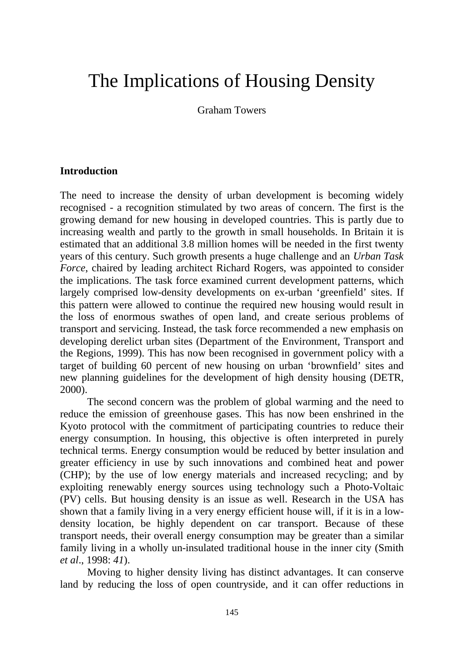# The Implications of Housing Density

Graham Towers

## **Introduction**

The need to increase the density of urban development is becoming widely recognised - a recognition stimulated by two areas of concern. The first is the growing demand for new housing in developed countries. This is partly due to increasing wealth and partly to the growth in small households. In Britain it is estimated that an additional 3.8 million homes will be needed in the first twenty years of this century. Such growth presents a huge challenge and an *Urban Task Force*, chaired by leading architect Richard Rogers, was appointed to consider the implications. The task force examined current development patterns, which largely comprised low-density developments on ex-urban 'greenfield' sites. If this pattern were allowed to continue the required new housing would result in the loss of enormous swathes of open land, and create serious problems of transport and servicing. Instead, the task force recommended a new emphasis on developing derelict urban sites (Department of the Environment, Transport and the Regions, 1999). This has now been recognised in government policy with a target of building 60 percent of new housing on urban 'brownfield' sites and new planning guidelines for the development of high density housing (DETR, 2000).

The second concern was the problem of global warming and the need to reduce the emission of greenhouse gases. This has now been enshrined in the Kyoto protocol with the commitment of participating countries to reduce their energy consumption. In housing, this objective is often interpreted in purely technical terms. Energy consumption would be reduced by better insulation and greater efficiency in use by such innovations and combined heat and power (CHP); by the use of low energy materials and increased recycling; and by exploiting renewably energy sources using technology such a Photo-Voltaic (PV) cells. But housing density is an issue as well. Research in the USA has shown that a family living in a very energy efficient house will, if it is in a lowdensity location, be highly dependent on car transport. Because of these transport needs, their overall energy consumption may be greater than a similar family living in a wholly un-insulated traditional house in the inner city (Smith *et al*., 1998: *41*).

Moving to higher density living has distinct advantages. It can conserve land by reducing the loss of open countryside, and it can offer reductions in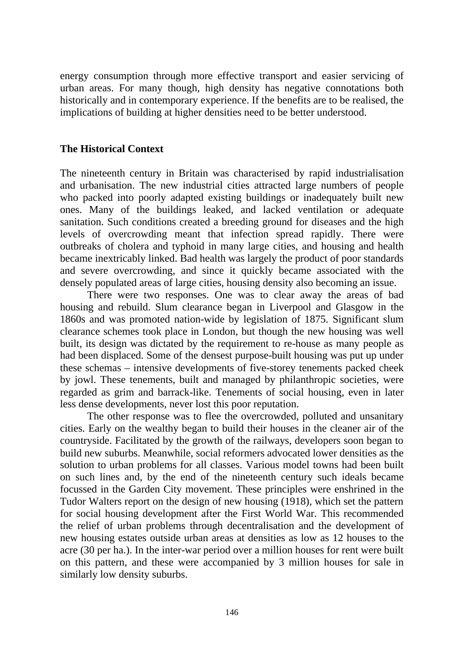energy consumption through more effective transport and easier servicing of urban areas. For many though, high density has negative connotations both historically and in contemporary experience. If the benefits are to be realised, the implications of building at higher densities need to be better understood.

## **The Historical Context**

The nineteenth century in Britain was characterised by rapid industrialisation and urbanisation. The new industrial cities attracted large numbers of people who packed into poorly adapted existing buildings or inadequately built new ones. Many of the buildings leaked, and lacked ventilation or adequate sanitation. Such conditions created a breeding ground for diseases and the high levels of overcrowding meant that infection spread rapidly. There were outbreaks of cholera and typhoid in many large cities, and housing and health became inextricably linked. Bad health was largely the product of poor standards and severe overcrowding, and since it quickly became associated with the densely populated areas of large cities, housing density also becoming an issue.

There were two responses. One was to clear away the areas of bad housing and rebuild. Slum clearance began in Liverpool and Glasgow in the 1860s and was promoted nation-wide by legislation of 1875. Significant slum clearance schemes took place in London, but though the new housing was well built, its design was dictated by the requirement to re-house as many people as had been displaced. Some of the densest purpose-built housing was put up under these schemas – intensive developments of five-storey tenements packed cheek by jowl. These tenements, built and managed by philanthropic societies, were regarded as grim and barrack-like. Tenements of social housing, even in later less dense developments, never lost this poor reputation.

The other response was to flee the overcrowded, polluted and unsanitary cities. Early on the wealthy began to build their houses in the cleaner air of the countryside. Facilitated by the growth of the railways, developers soon began to build new suburbs. Meanwhile, social reformers advocated lower densities as the solution to urban problems for all classes. Various model towns had been built on such lines and, by the end of the nineteenth century such ideals became focussed in the Garden City movement. These principles were enshrined in the Tudor Walters report on the design of new housing (1918), which set the pattern for social housing development after the First World War. This recommended the relief of urban problems through decentralisation and the development of new housing estates outside urban areas at densities as low as 12 houses to the acre (30 per ha.). In the inter-war period over a million houses for rent were built on this pattern, and these were accompanied by 3 million houses for sale in similarly low density suburbs.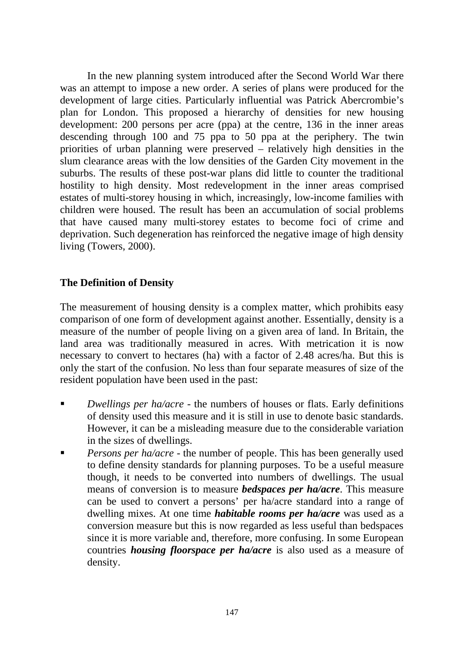In the new planning system introduced after the Second World War there was an attempt to impose a new order. A series of plans were produced for the development of large cities. Particularly influential was Patrick Abercrombie's plan for London. This proposed a hierarchy of densities for new housing development: 200 persons per acre (ppa) at the centre, 136 in the inner areas descending through 100 and 75 ppa to 50 ppa at the periphery. The twin priorities of urban planning were preserved – relatively high densities in the slum clearance areas with the low densities of the Garden City movement in the suburbs. The results of these post-war plans did little to counter the traditional hostility to high density. Most redevelopment in the inner areas comprised estates of multi-storey housing in which, increasingly, low-income families with children were housed. The result has been an accumulation of social problems that have caused many multi-storey estates to become foci of crime and deprivation. Such degeneration has reinforced the negative image of high density living (Towers, 2000).

## **The Definition of Density**

The measurement of housing density is a complex matter, which prohibits easy comparison of one form of development against another. Essentially, density is a measure of the number of people living on a given area of land. In Britain, the land area was traditionally measured in acres. With metrication it is now necessary to convert to hectares (ha) with a factor of 2.48 acres/ha. But this is only the start of the confusion. No less than four separate measures of size of the resident population have been used in the past:

- ß *Dwellings per ha/acre* the numbers of houses or flats. Early definitions of density used this measure and it is still in use to denote basic standards. However, it can be a misleading measure due to the considerable variation in the sizes of dwellings.
- ß *Persons per ha/acre* the number of people. This has been generally used to define density standards for planning purposes. To be a useful measure though, it needs to be converted into numbers of dwellings. The usual means of conversion is to measure *bedspaces per ha/acre*. This measure can be used to convert a persons' per ha/acre standard into a range of dwelling mixes. At one time *habitable rooms per ha/acre* was used as a conversion measure but this is now regarded as less useful than bedspaces since it is more variable and, therefore, more confusing. In some European countries *housing floorspace per ha/acre* is also used as a measure of density.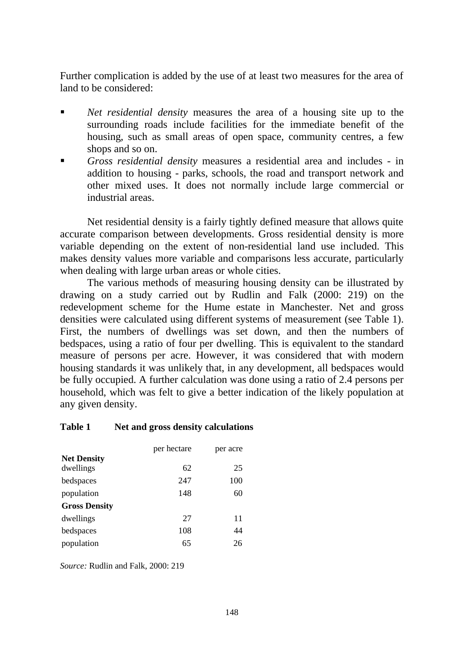Further complication is added by the use of at least two measures for the area of land to be considered:

- ß *Net residential density* measures the area of a housing site up to the surrounding roads include facilities for the immediate benefit of the housing, such as small areas of open space, community centres, a few shops and so on.
- ß *Gross residential density* measures a residential area and includes in addition to housing - parks, schools, the road and transport network and other mixed uses. It does not normally include large commercial or industrial areas.

Net residential density is a fairly tightly defined measure that allows quite accurate comparison between developments. Gross residential density is more variable depending on the extent of non-residential land use included. This makes density values more variable and comparisons less accurate, particularly when dealing with large urban areas or whole cities.

The various methods of measuring housing density can be illustrated by drawing on a study carried out by Rudlin and Falk (2000: 219) on the redevelopment scheme for the Hume estate in Manchester. Net and gross densities were calculated using different systems of measurement (see Table 1). First, the numbers of dwellings was set down, and then the numbers of bedspaces, using a ratio of four per dwelling. This is equivalent to the standard measure of persons per acre. However, it was considered that with modern housing standards it was unlikely that, in any development, all bedspaces would be fully occupied. A further calculation was done using a ratio of 2.4 persons per household, which was felt to give a better indication of the likely population at any given density.

#### **Table 1 Net and gross density calculations**

|                      | per hectare | per acre |
|----------------------|-------------|----------|
| <b>Net Density</b>   |             |          |
| dwellings            | 62          | 25       |
| bedspaces            | 247         | 100      |
| population           | 148         | 60       |
| <b>Gross Density</b> |             |          |
| dwellings            | 27          | 11       |
| bedspaces            | 108         | 44       |
| population           | 65          | 26       |

*Source:* Rudlin and Falk, 2000: 219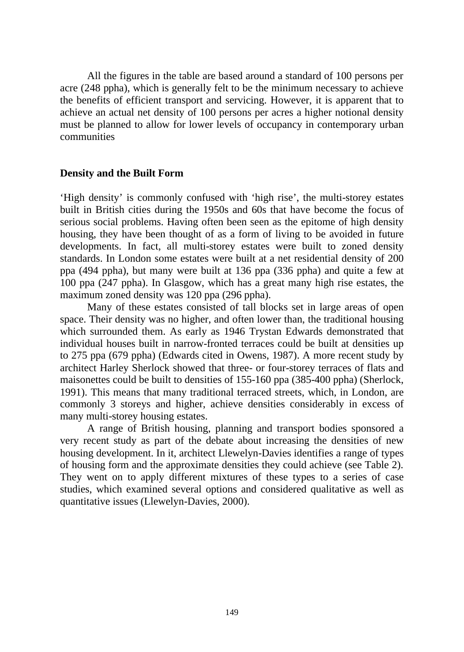All the figures in the table are based around a standard of 100 persons per acre (248 ppha), which is generally felt to be the minimum necessary to achieve the benefits of efficient transport and servicing. However, it is apparent that to achieve an actual net density of 100 persons per acres a higher notional density must be planned to allow for lower levels of occupancy in contemporary urban communities

### **Density and the Built Form**

'High density' is commonly confused with 'high rise', the multi-storey estates built in British cities during the 1950s and 60s that have become the focus of serious social problems. Having often been seen as the epitome of high density housing, they have been thought of as a form of living to be avoided in future developments. In fact, all multi-storey estates were built to zoned density standards. In London some estates were built at a net residential density of 200 ppa (494 ppha), but many were built at 136 ppa (336 ppha) and quite a few at 100 ppa (247 ppha). In Glasgow, which has a great many high rise estates, the maximum zoned density was 120 ppa (296 ppha).

Many of these estates consisted of tall blocks set in large areas of open space. Their density was no higher, and often lower than, the traditional housing which surrounded them. As early as 1946 Trystan Edwards demonstrated that individual houses built in narrow-fronted terraces could be built at densities up to 275 ppa (679 ppha) (Edwards cited in Owens, 1987). A more recent study by architect Harley Sherlock showed that three- or four-storey terraces of flats and maisonettes could be built to densities of 155-160 ppa (385-400 ppha) (Sherlock, 1991). This means that many traditional terraced streets, which, in London, are commonly 3 storeys and higher, achieve densities considerably in excess of many multi-storey housing estates.

A range of British housing, planning and transport bodies sponsored a very recent study as part of the debate about increasing the densities of new housing development. In it, architect Llewelyn-Davies identifies a range of types of housing form and the approximate densities they could achieve (see Table 2). They went on to apply different mixtures of these types to a series of case studies, which examined several options and considered qualitative as well as quantitative issues (Llewelyn-Davies, 2000).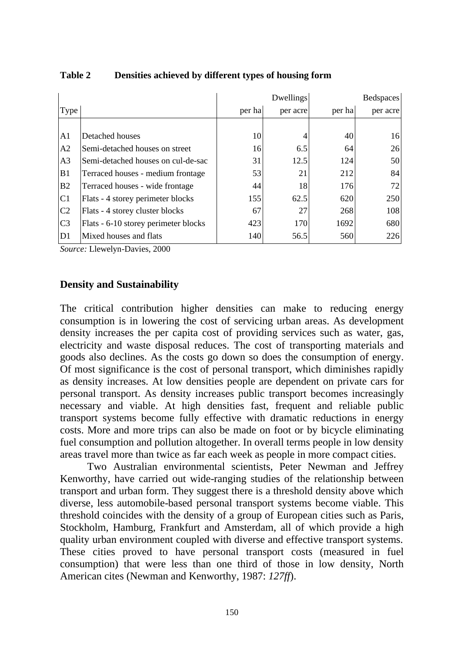|                |                                      |        | Dwellings |        | <b>Bedspaces</b> |
|----------------|--------------------------------------|--------|-----------|--------|------------------|
| Type           |                                      | per ha | per acre  | per ha | per acre         |
|                |                                      |        |           |        |                  |
| A <sub>1</sub> | Detached houses                      | 10     |           | 40     | 16               |
| A2             | Semi-detached houses on street       | 16     | 6.5       | 64     | 26               |
| A <sub>3</sub> | Semi-detached houses on cul-de-sac   | 31     | 12.5      | 124    | 50               |
| B1             | Terraced houses - medium frontage    | 53     | 21        | 212    | 84               |
| B <sub>2</sub> | Terraced houses - wide frontage      | 44     | 18        | 176    | 72               |
| C <sub>1</sub> | Flats - 4 storey perimeter blocks    | 155    | 62.5      | 620    | 250              |
| C <sub>2</sub> | Flats - 4 storey cluster blocks      | 67     | 27        | 268    | 108              |
| C <sub>3</sub> | Flats - 6-10 storey perimeter blocks | 423    | 170       | 1692   | 680              |
| D <sub>1</sub> | Mixed houses and flats               | 140    | 56.5      | 560    | 226              |

## **Table 2 Densities achieved by different types of housing form**

*Source:* Llewelyn-Davies, 2000

## **Density and Sustainability**

The critical contribution higher densities can make to reducing energy consumption is in lowering the cost of servicing urban areas. As development density increases the per capita cost of providing services such as water, gas, electricity and waste disposal reduces. The cost of transporting materials and goods also declines. As the costs go down so does the consumption of energy. Of most significance is the cost of personal transport, which diminishes rapidly as density increases. At low densities people are dependent on private cars for personal transport. As density increases public transport becomes increasingly necessary and viable. At high densities fast, frequent and reliable public transport systems become fully effective with dramatic reductions in energy costs. More and more trips can also be made on foot or by bicycle eliminating fuel consumption and pollution altogether. In overall terms people in low density areas travel more than twice as far each week as people in more compact cities.

Two Australian environmental scientists, Peter Newman and Jeffrey Kenworthy, have carried out wide-ranging studies of the relationship between transport and urban form. They suggest there is a threshold density above which diverse, less automobile-based personal transport systems become viable. This threshold coincides with the density of a group of European cities such as Paris, Stockholm, Hamburg, Frankfurt and Amsterdam, all of which provide a high quality urban environment coupled with diverse and effective transport systems. These cities proved to have personal transport costs (measured in fuel consumption) that were less than one third of those in low density, North American cites (Newman and Kenworthy, 1987: *127ff*).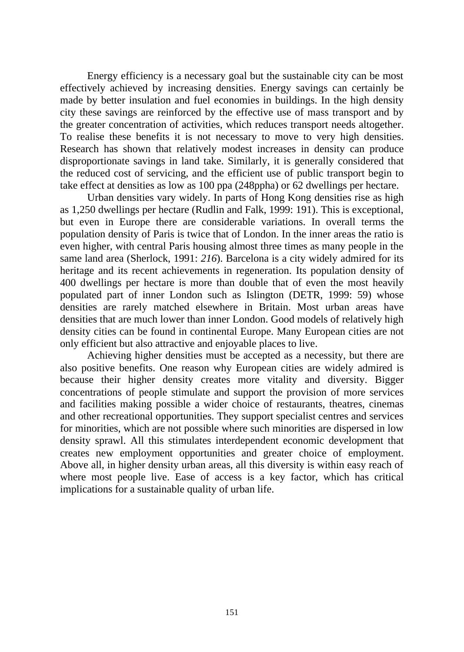Energy efficiency is a necessary goal but the sustainable city can be most effectively achieved by increasing densities. Energy savings can certainly be made by better insulation and fuel economies in buildings. In the high density city these savings are reinforced by the effective use of mass transport and by the greater concentration of activities, which reduces transport needs altogether. To realise these benefits it is not necessary to move to very high densities. Research has shown that relatively modest increases in density can produce disproportionate savings in land take. Similarly, it is generally considered that the reduced cost of servicing, and the efficient use of public transport begin to take effect at densities as low as 100 ppa (248ppha) or 62 dwellings per hectare.

Urban densities vary widely. In parts of Hong Kong densities rise as high as 1,250 dwellings per hectare (Rudlin and Falk, 1999: 191). This is exceptional, but even in Europe there are considerable variations. In overall terms the population density of Paris is twice that of London. In the inner areas the ratio is even higher, with central Paris housing almost three times as many people in the same land area (Sherlock, 1991: *216*). Barcelona is a city widely admired for its heritage and its recent achievements in regeneration. Its population density of 400 dwellings per hectare is more than double that of even the most heavily populated part of inner London such as Islington (DETR, 1999: 59) whose densities are rarely matched elsewhere in Britain. Most urban areas have densities that are much lower than inner London. Good models of relatively high density cities can be found in continental Europe. Many European cities are not only efficient but also attractive and enjoyable places to live.

Achieving higher densities must be accepted as a necessity, but there are also positive benefits. One reason why European cities are widely admired is because their higher density creates more vitality and diversity. Bigger concentrations of people stimulate and support the provision of more services and facilities making possible a wider choice of restaurants, theatres, cinemas and other recreational opportunities. They support specialist centres and services for minorities, which are not possible where such minorities are dispersed in low density sprawl. All this stimulates interdependent economic development that creates new employment opportunities and greater choice of employment. Above all, in higher density urban areas, all this diversity is within easy reach of where most people live. Ease of access is a key factor, which has critical implications for a sustainable quality of urban life.